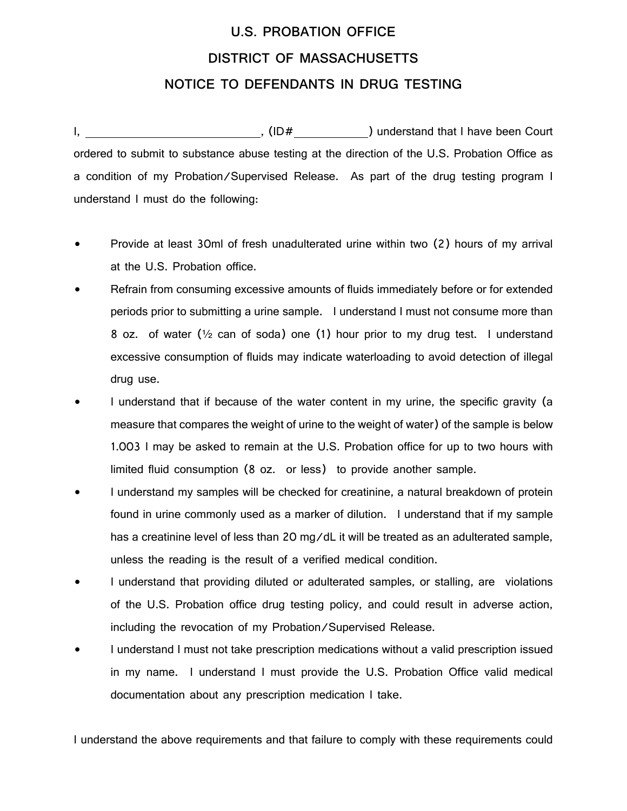## **U.S. PROBATION OFFICE DISTRICT OF MASSACHUSETTS NOTICE TO DEFENDANTS IN DRUG TESTING**

I, the same country  $\mathsf{I}$ , (ID# ) understand that I have been Court ordered to submit to substance abuse testing at the direction of the U.S. Probation Office as a condition of my Probation/Supervised Release. As part of the drug testing program I understand I must do the following:

- Provide at least 30ml of fresh unadulterated urine within two (2) hours of my arrival at the U.S. Probation office.
- Refrain from consuming excessive amounts of fluids immediately before or for extended periods prior to submitting a urine sample. I understand I must not consume more than 8 oz. of water ( $\frac{1}{2}$  can of soda) one (1) hour prior to my drug test. I understand excessive consumption of fluids may indicate waterloading to avoid detection of illegal drug use.
- I understand that if because of the water content in my urine, the specific gravity (a measure that compares the weight of urine to the weight of water) of the sample is below 1.003 I may be asked to remain at the U.S. Probation office for up to two hours with limited fluid consumption (8 oz. or less) to provide another sample.
- I understand my samples will be checked for creatinine, a natural breakdown of protein found in urine commonly used as a marker of dilution. I understand that if my sample has a creatinine level of less than 20 mg/dL it will be treated as an adulterated sample, unless the reading is the result of a verified medical condition.
- I understand that providing diluted or adulterated samples, or stalling, are violations of the U.S. Probation office drug testing policy, and could result in adverse action, including the revocation of my Probation/Supervised Release.
- I understand I must not take prescription medications without a valid prescription issued in my name. I understand I must provide the U.S. Probation Office valid medical documentation about any prescription medication I take.

I understand the above requirements and that failure to comply with these requirements could